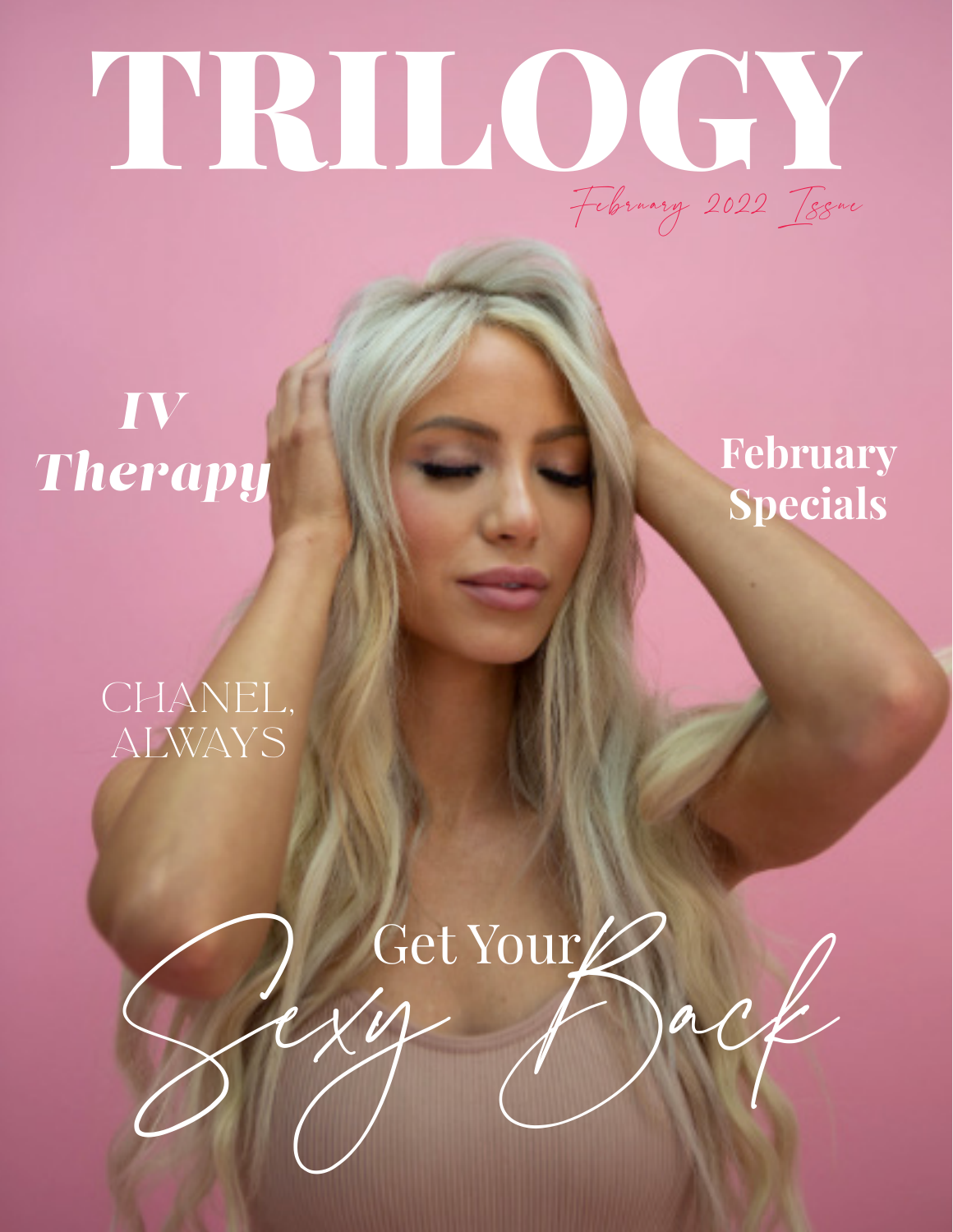# TRILOGY February 2022 Issue

*IV Therapy*

## **February Specials**

## CHANEL, always

Sexy Back Get Your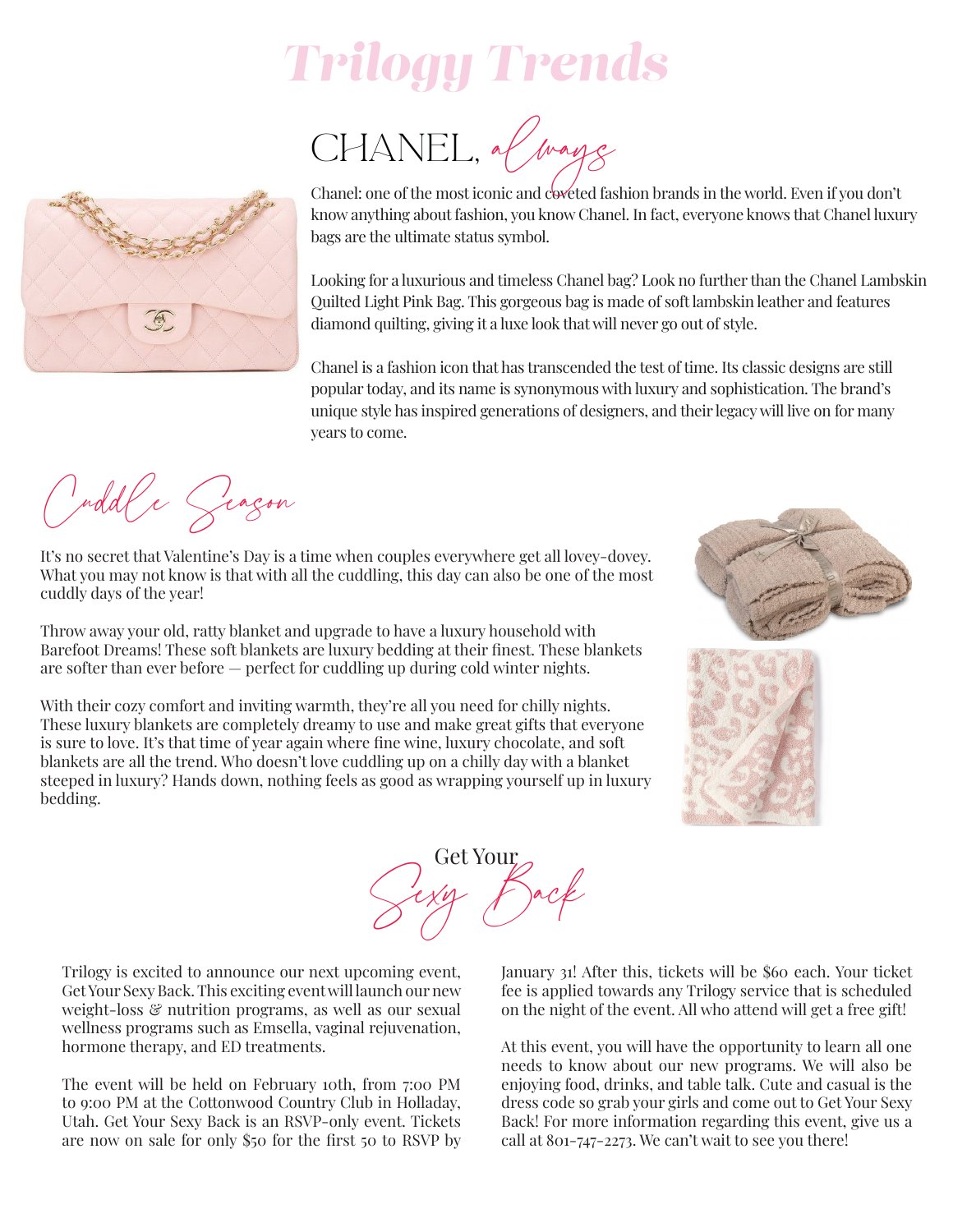## *Trilogy Trends*

CHANEL, always



Chanel: one of the most iconic and coveted fashion brands in the world. Even if you don't know anything about fashion, you know Chanel. In fact, everyone knows that Chanel luxury bags are the ultimate status symbol.

Looking for a luxurious and timeless Chanel bag? Look no further than the Chanel Lambskin Quilted Light Pink Bag. This gorgeous bag is made of soft lambskin leather and features diamond quilting, giving it a luxe look that will never go out of style.

Chanel is a fashion icon that has transcended the test of time. Its classic designs are still popular today, and its name is synonymous with luxury and sophistication. The brand's unique style has inspired generations of designers, and their legacy will live on for many years to come.

Cuddle Season

It's no secret that Valentine's Day is a time when couples everywhere get all lovey-dovey. What you may not know is that with all the cuddling, this day can also be one of the most cuddly days of the year!

Throw away your old, ratty blanket and upgrade to have a luxury household with Barefoot Dreams! These soft blankets are luxury bedding at their finest. These blankets are softer than ever before — perfect for cuddling up during cold winter nights.

With their cozy comfort and inviting warmth, they're all you need for chilly nights. These luxury blankets are completely dreamy to use and make great gifts that everyone is sure to love. It's that time of year again where fine wine, luxury chocolate, and soft blankets are all the trend. Who doesn't love cuddling up on a chilly day with a blanket steeped in luxury? Hands down, nothing feels as good as wrapping yourself up in luxury bedding.





Trilogy is excited to announce our next upcoming event, Get Your Sexy Back. This exciting event will launch our new weight-loss & nutrition programs, as well as our sexual wellness programs such as Emsella, vaginal rejuvenation, hormone therapy, and ED treatments.

The event will be held on February 10th, from 7:00 PM to 9:00 PM at the Cottonwood Country Club in Holladay, Utah. Get Your Sexy Back is an RSVP-only event. Tickets are now on sale for only \$50 for the first 50 to RSVP by January 31! After this, tickets will be \$60 each. Your ticket fee is applied towards any Trilogy service that is scheduled on the night of the event. All who attend will get a free gift!

At this event, you will have the opportunity to learn all one needs to know about our new programs. We will also be enjoying food, drinks, and table talk. Cute and casual is the dress code so grab your girls and come out to Get Your Sexy Back! For more information regarding this event, give us a call at 801-747-2273. We can't wait to see you there!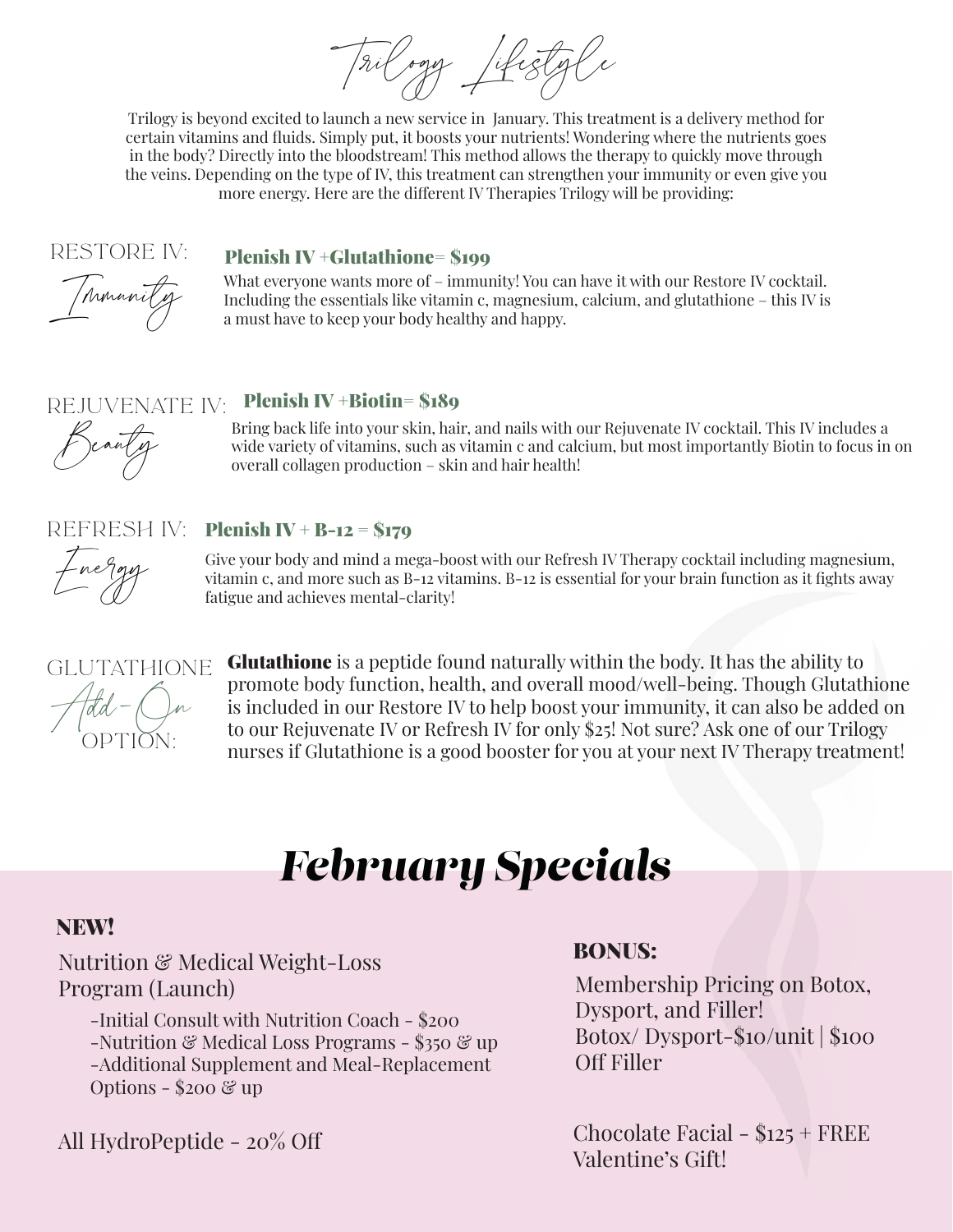History

Trilogy is beyond excited to launch a new service in January. This treatment is a delivery method for certain vitamins and fluids. Simply put, it boosts your nutrients! Wondering where the nutrients goes in the body? Directly into the bloodstream! This method allows the therapy to quickly move through the veins. Depending on the type of IV, this treatment can strengthen your immunity or even give you more energy. Here are the different IV Therapies Trilogy will be providing:

### Restore IV:

### Plenish IV +Glutathione= \$199

Immunity

What everyone wants more of – immunity! You can have it with our Restore IV cocktail. Including the essentials like vitamin c, magnesium, calcium, and glutathione – this IV is a must have to keep your body healthy and happy.

### REJUVENATE IV: Plenish IV+Biotin= \$189

Beauty

Bring back life into your skin, hair, and nails with our Rejuvenate IV cocktail. This IV includes a wide variety of vitamins, such as vitamin c and calcium, but most importantly Biotin to focus in on overall collagen production – skin and hair health!

#### refresh IV: Plenish IV + B-12 =  $$179$

Energy

Give your body and mind a mega-boost with our Refresh IV Therapy cocktail including magnesium, vitamin c, and more such as B-12 vitamins. B-12 is essential for your brain function as it fights away fatigue and achieves mental-clarity!



Glutathione is a peptide found naturally within the body. It has the ability to promote body function, health, and overall mood/well-being. Though Glutathione is included in our Restore IV to help boost your immunity, it can also be added on to our Rejuvenate IV or Refresh IV for only \$25! Not sure? Ask one of our Trilogy nurses if Glutathione is a good booster for you at your next IV Therapy treatment!

## *February Specials*

### NEW!

### Nutrition & Medical Weight-Loss Program (Launch)

-Initial Consult with Nutrition Coach - \$200 -Nutrition & Medical Loss Programs - \$350 & up -Additional Supplement and Meal-Replacement Options -  $200 \&$  up

Valentine's Gift! All HydroPeptide - 20% Off

### BONUS:

Membership Pricing on Botox, Dysport, and Filler! Botox/ Dysport-\$10/unit | \$100 Off Filler

Chocolate Facial - \$125 + FREE